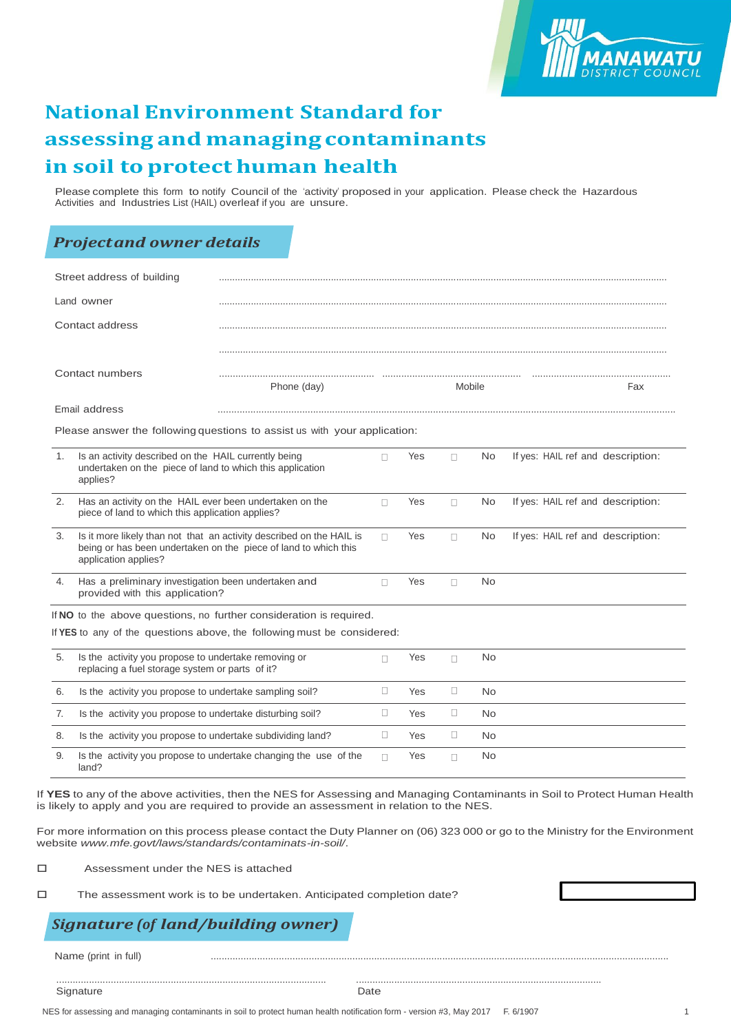

# **National Environment Standard for assessing and managingcontaminants in soil toprotect human health**

Please complete this form to notify Council of the 'activity' proposed in your application. Please check the Hazardous Activities and Industries List (HAIL) overleaf if you are unsure.

### *Projectand owner details*

| Street address of building                                              |                                                                                                                                                                 |                                                                           |        |            |        |           |                                   |
|-------------------------------------------------------------------------|-----------------------------------------------------------------------------------------------------------------------------------------------------------------|---------------------------------------------------------------------------|--------|------------|--------|-----------|-----------------------------------|
| Land owner                                                              |                                                                                                                                                                 |                                                                           |        |            |        |           |                                   |
| Contact address                                                         |                                                                                                                                                                 |                                                                           |        |            |        |           |                                   |
| Contact numbers                                                         |                                                                                                                                                                 | Phone (day)                                                               | Mobile |            |        | Fax       |                                   |
|                                                                         | Email address                                                                                                                                                   |                                                                           |        |            |        |           |                                   |
|                                                                         |                                                                                                                                                                 | Please answer the following questions to assist us with your application: |        |            |        |           |                                   |
| 1.                                                                      | Is an activity described on the HAIL currently being<br>undertaken on the piece of land to which this application<br>applies?                                   |                                                                           | П.     | Yes        | $\Box$ | No        | If yes: HAIL ref and description: |
| 2.                                                                      | Has an activity on the HAIL ever been undertaken on the<br>piece of land to which this application applies?                                                     |                                                                           | П      | Yes        | $\Box$ | No        | If yes: HAIL ref and description: |
| 3.                                                                      | Is it more likely than not that an activity described on the HAIL is<br>being or has been undertaken on the piece of land to which this<br>application applies? |                                                                           | П      | Yes        | $\Box$ | No        | If yes: HAIL ref and description: |
| 4.                                                                      | Has a preliminary investigation been undertaken and<br>provided with this application?                                                                          |                                                                           |        | Yes        | $\Box$ | <b>No</b> |                                   |
|                                                                         |                                                                                                                                                                 | If NO to the above questions, no further consideration is required.       |        |            |        |           |                                   |
| If YES to any of the questions above, the following must be considered: |                                                                                                                                                                 |                                                                           |        |            |        |           |                                   |
| 5.                                                                      | Is the activity you propose to undertake removing or<br>replacing a fuel storage system or parts of it?                                                         |                                                                           |        | Yes        | $\Box$ | <b>No</b> |                                   |
| 6.                                                                      | Is the activity you propose to undertake sampling soil?                                                                                                         |                                                                           | $\Box$ | <b>Yes</b> | $\Box$ | <b>No</b> |                                   |
| 7.                                                                      | Is the activity you propose to undertake disturbing soil?                                                                                                       |                                                                           | O.     | <b>Yes</b> | $\Box$ | No        |                                   |
| 8.                                                                      | Is the activity you propose to undertake subdividing land?                                                                                                      |                                                                           | □      | Yes        | $\Box$ | No        |                                   |
| 9.                                                                      | land?                                                                                                                                                           | Is the activity you propose to undertake changing the use of the          | П      | Yes        | П      | <b>No</b> |                                   |

If **YES** to any of the above activities, then the NES for Assessing and Managing Contaminants in Soil to Protect Human Health is likely to apply and you are required to provide an assessment in relation to the NES.

For more information on this process please contact the Duty Planner on (06) 323 000 or go to the Ministry for the Environment website *[www.mfe.govt/laws/standards/contaminats-in-soil/](http://www.mfe.govt/laws/standards/contaminats-in-soil/)*.

□ Assessment under the NES is attached

 $\square$  The assessment work is to be undertaken. Anticipated completion date?

## *Signature (of land/building owner)*

Name (print in full)

Signature Date **Date** 

................................................................................................... ..........................................................................................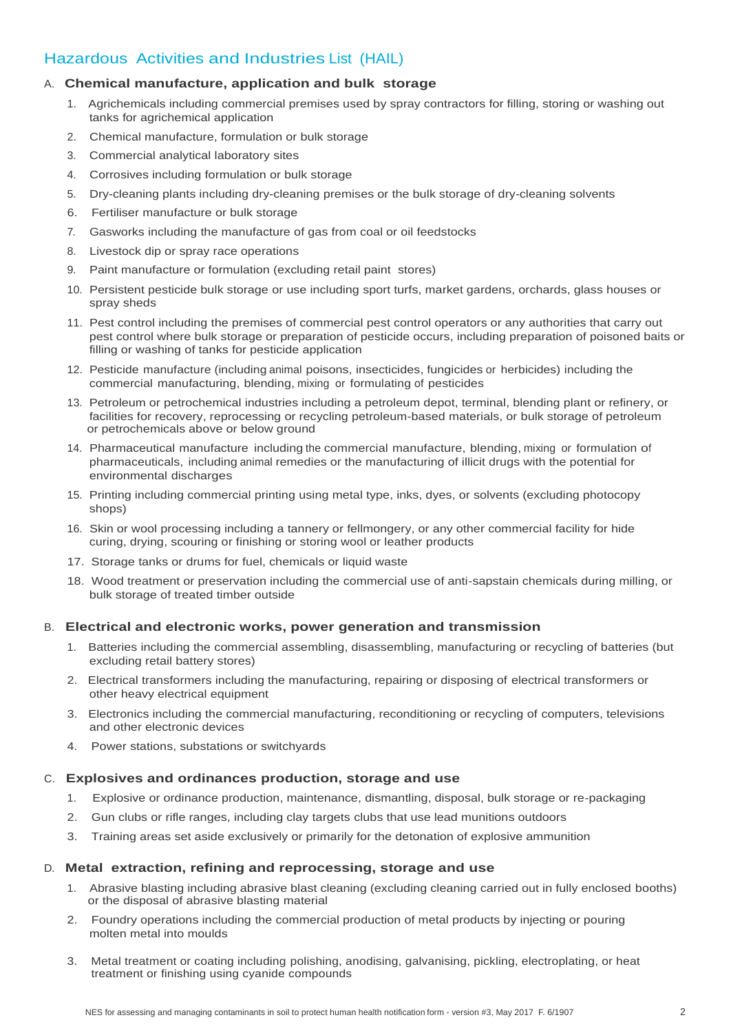## Hazardous Activities and Industries List (HAIL)

#### A. **Chemical manufacture, application and bulk storage**

- 1. Agrichemicals including commercial premises used by spray contractors for filling, storing or washing out tanks for agrichemical application
- 2. Chemical manufacture, formulation or bulk storage
- 3. Commercial analytical laboratory sites
- 4. Corrosives including formulation or bulk storage
- 5. Dry-cleaning plants including dry-cleaning premises or the bulk storage of dry-cleaning solvents
- 6. Fertiliser manufacture or bulk storage
- 7. Gasworks including the manufacture of gas from coal or oil feedstocks
- 8. Livestock dip or spray race operations
- 9. Paint manufacture or formulation (excluding retail paint stores)
- 10. Persistent pesticide bulk storage or use including sport turfs, market gardens, orchards, glass houses or spray sheds
- 11. Pest control including the premises of commercial pest control operators or any authorities that carry out pest control where bulk storage or preparation of pesticide occurs, including preparation of poisoned baits or filling or washing of tanks for pesticide application
- 12. Pesticide manufacture (including animal poisons, insecticides, fungicides or herbicides) including the commercial manufacturing, blending, mixing or formulating of pesticides
- 13. Petroleum or petrochemical industries including a petroleum depot, terminal, blending plant or refinery, or facilities for recovery, reprocessing or recycling petroleum-based materials, or bulk storage of petroleum or petrochemicals above or below ground
- 14. Pharmaceutical manufacture including the commercial manufacture, blending, mixing or formulation of pharmaceuticals, including animal remedies or the manufacturing of illicit drugs with the potential for environmental discharges
- 15. Printing including commercial printing using metal type, inks, dyes, or solvents (excluding photocopy shops)
- 16. Skin or wool processing including a tannery or fellmongery, or any other commercial facility for hide curing, drying, scouring or finishing or storing wool or leather products
- 17. Storage tanks or drums for fuel, chemicals or liquid waste
- 18. Wood treatment or preservation including the commercial use of anti-sapstain chemicals during milling, or bulk storage of treated timber outside

#### B. **Electrical and electronic works, power generation and transmission**

- 1. Batteries including the commercial assembling, disassembling, manufacturing or recycling of batteries (but excluding retail battery stores)
- 2. Electrical transformers including the manufacturing, repairing or disposing of electrical transformers or other heavy electrical equipment
- 3. Electronics including the commercial manufacturing, reconditioning or recycling of computers, televisions and other electronic devices
- 4. Power stations, substations or switchyards

#### C. **Explosives and ordinances production, storage and use**

- 1. Explosive or ordinance production, maintenance, dismantling, disposal, bulk storage or re-packaging
- 2. Gun clubs or rifle ranges, including clay targets clubs that use lead munitions outdoors
- 3. Training areas set aside exclusively or primarily for the detonation of explosive ammunition

#### D. **Metal extraction, refining and reprocessing, storage and use**

- 1. Abrasive blasting including abrasive blast cleaning (excluding cleaning carried out in fully enclosed booths) or the disposal of abrasive blasting material
- 2. Foundry operations including the commercial production of metal products by injecting or pouring molten metal into moulds
- 3. Metal treatment or coating including polishing, anodising, galvanising, pickling, electroplating, or heat treatment or finishing using cyanide compounds